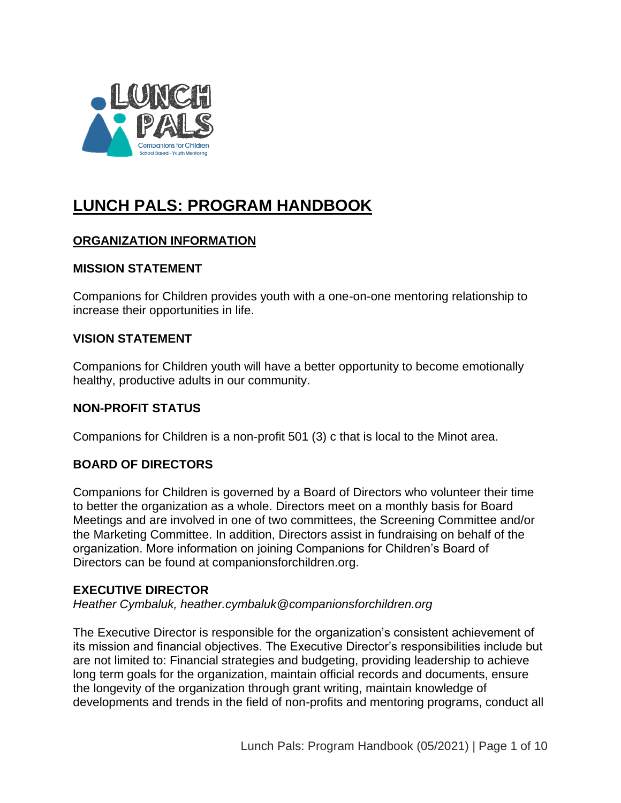

# **LUNCH PALS: PROGRAM HANDBOOK**

# **ORGANIZATION INFORMATION**

#### **MISSION STATEMENT**

Companions for Children provides youth with a one-on-one mentoring relationship to increase their opportunities in life.

## **VISION STATEMENT**

Companions for Children youth will have a better opportunity to become emotionally healthy, productive adults in our community.

## **NON-PROFIT STATUS**

Companions for Children is a non-profit 501 (3) c that is local to the Minot area.

# **BOARD OF DIRECTORS**

Companions for Children is governed by a Board of Directors who volunteer their time to better the organization as a whole. Directors meet on a monthly basis for Board Meetings and are involved in one of two committees, the Screening Committee and/or the Marketing Committee. In addition, Directors assist in fundraising on behalf of the organization. More information on joining Companions for Children's Board of Directors can be found at companionsforchildren.org.

## **EXECUTIVE DIRECTOR**

*Heather Cymbaluk, heather.cymbaluk@companionsforchildren.org*

The Executive Director is responsible for the organization's consistent achievement of its mission and financial objectives. The Executive Director's responsibilities include but are not limited to: Financial strategies and budgeting, providing leadership to achieve long term goals for the organization, maintain official records and documents, ensure the longevity of the organization through grant writing, maintain knowledge of developments and trends in the field of non-profits and mentoring programs, conduct all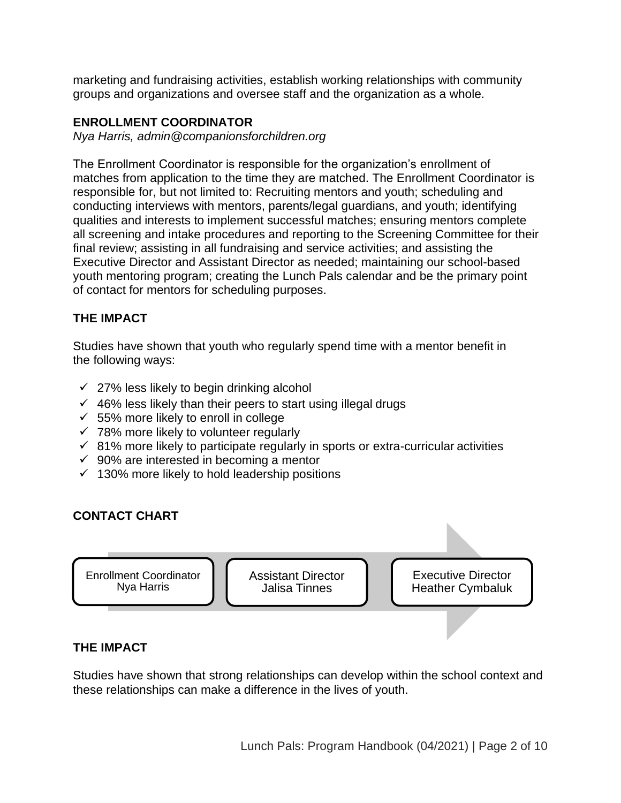marketing and fundraising activities, establish working relationships with community groups and organizations and oversee staff and the organization as a whole.

#### **ENROLLMENT COORDINATOR**

*Nya Harris, admin@companionsforchildren.org*

The Enrollment Coordinator is responsible for the organization's enrollment of matches from application to the time they are matched. The Enrollment Coordinator is responsible for, but not limited to: Recruiting mentors and youth; scheduling and conducting interviews with mentors, parents/legal guardians, and youth; identifying qualities and interests to implement successful matches; ensuring mentors complete all screening and intake procedures and reporting to the Screening Committee for their final review; assisting in all fundraising and service activities; and assisting the Executive Director and Assistant Director as needed; maintaining our school-based youth mentoring program; creating the Lunch Pals calendar and be the primary point of contact for mentors for scheduling purposes.

## **THE IMPACT**

Studies have shown that youth who regularly spend time with a mentor benefit in the following ways:

- $\checkmark$  27% less likely to begin drinking alcohol
- $\checkmark$  46% less likely than their peers to start using illegal drugs
- $\times$  55% more likely to enroll in college
- $\checkmark$  78% more likely to volunteer regularly
- $\checkmark$  81% more likely to participate regularly in sports or extra-curricular activities
- $\checkmark$  90% are interested in becoming a mentor
- $\checkmark$  130% more likely to hold leadership positions

## **CONTACT CHART**



## **THE IMPACT**

Studies have shown that strong relationships can develop within the school context and these relationships can make a difference in the lives of youth.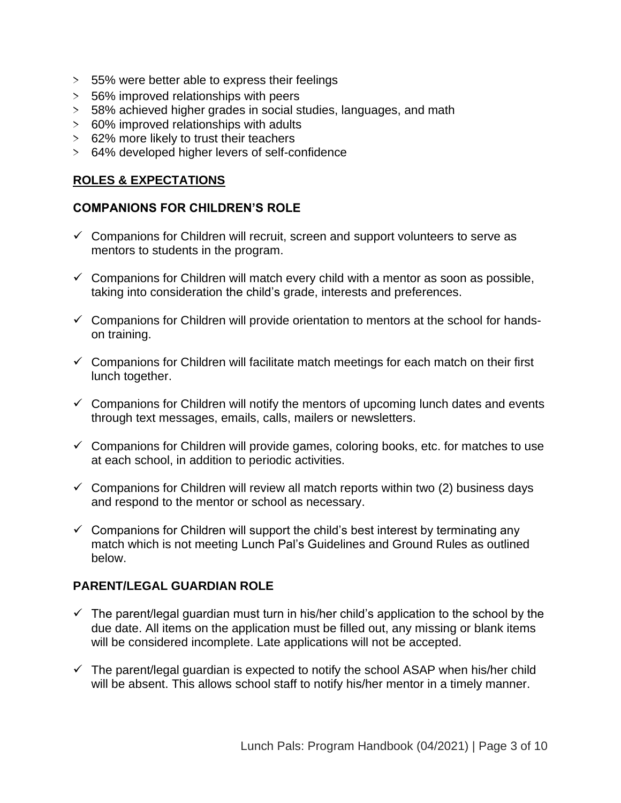- *>* 55% were better able to express their feelings
- *>* 56% improved relationships with peers
- *>* 58% achieved higher grades in social studies, languages, and math
- *>* 60% improved relationships with adults
- *>* 62% more likely to trust their teachers
- *>* 64% developed higher levers of self-confidence

#### **ROLES & EXPECTATIONS**

#### **COMPANIONS FOR CHILDREN'S ROLE**

- $\checkmark$  Companions for Children will recruit, screen and support volunteers to serve as mentors to students in the program.
- $\checkmark$  Companions for Children will match every child with a mentor as soon as possible, taking into consideration the child's grade, interests and preferences.
- $\checkmark$  Companions for Children will provide orientation to mentors at the school for handson training.
- $\checkmark$  Companions for Children will facilitate match meetings for each match on their first lunch together.
- $\checkmark$  Companions for Children will notify the mentors of upcoming lunch dates and events through text messages, emails, calls, mailers or newsletters.
- $\checkmark$  Companions for Children will provide games, coloring books, etc. for matches to use at each school, in addition to periodic activities.
- $\checkmark$  Companions for Children will review all match reports within two (2) business days and respond to the mentor or school as necessary.
- $\checkmark$  Companions for Children will support the child's best interest by terminating any match which is not meeting Lunch Pal's Guidelines and Ground Rules as outlined below.

## **PARENT/LEGAL GUARDIAN ROLE**

- $\checkmark$  The parent/legal guardian must turn in his/her child's application to the school by the due date. All items on the application must be filled out, any missing or blank items will be considered incomplete. Late applications will not be accepted.
- $\checkmark$  The parent/legal guardian is expected to notify the school ASAP when his/her child will be absent. This allows school staff to notify his/her mentor in a timely manner.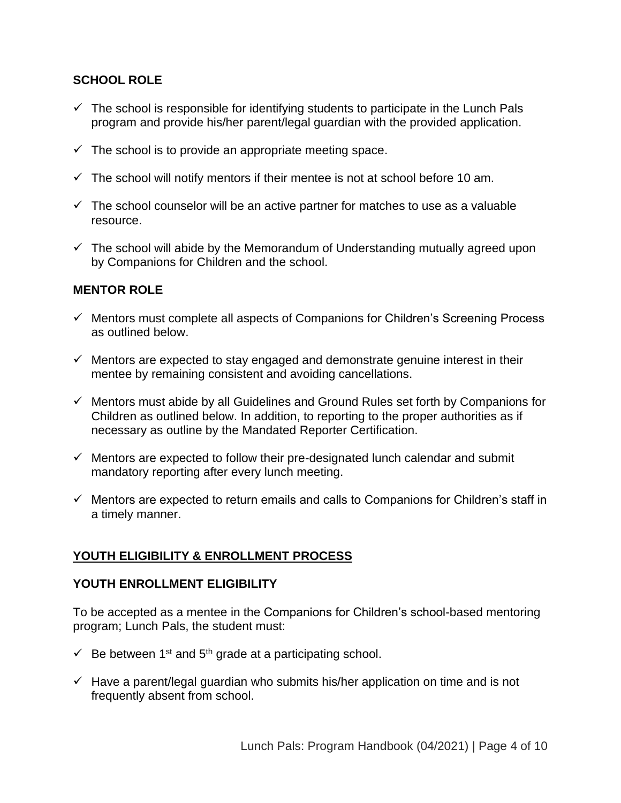## **SCHOOL ROLE**

- $\checkmark$  The school is responsible for identifying students to participate in the Lunch Pals program and provide his/her parent/legal guardian with the provided application.
- $\checkmark$  The school is to provide an appropriate meeting space.
- $\checkmark$  The school will notify mentors if their mentee is not at school before 10 am.
- $\checkmark$  The school counselor will be an active partner for matches to use as a valuable resource.
- $\checkmark$  The school will abide by the Memorandum of Understanding mutually agreed upon by Companions for Children and the school.

## **MENTOR ROLE**

- ✓ Mentors must complete all aspects of Companions for Children's Screening Process as outlined below.
- $\checkmark$  Mentors are expected to stay engaged and demonstrate genuine interest in their mentee by remaining consistent and avoiding cancellations.
- ✓ Mentors must abide by all Guidelines and Ground Rules set forth by Companions for Children as outlined below. In addition, to reporting to the proper authorities as if necessary as outline by the Mandated Reporter Certification.
- $\checkmark$  Mentors are expected to follow their pre-designated lunch calendar and submit mandatory reporting after every lunch meeting.
- $\checkmark$  Mentors are expected to return emails and calls to Companions for Children's staff in a timely manner.

# **YOUTH ELIGIBILITY & ENROLLMENT PROCESS**

#### **YOUTH ENROLLMENT ELIGIBILITY**

To be accepted as a mentee in the Companions for Children's school-based mentoring program; Lunch Pals, the student must:

- $\checkmark$  Be between 1<sup>st</sup> and 5<sup>th</sup> grade at a participating school.
- $\checkmark$  Have a parent/legal guardian who submits his/her application on time and is not frequently absent from school.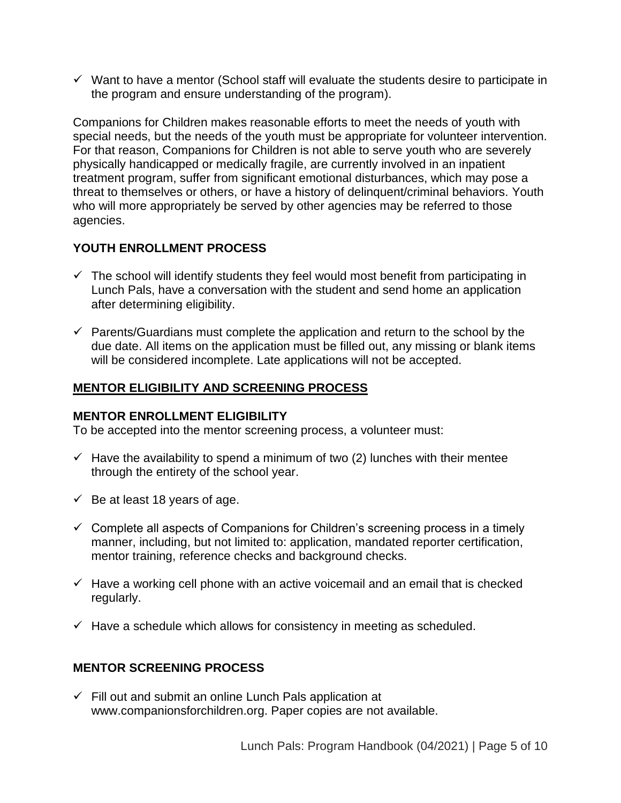$\checkmark$  Want to have a mentor (School staff will evaluate the students desire to participate in the program and ensure understanding of the program).

Companions for Children makes reasonable efforts to meet the needs of youth with special needs, but the needs of the youth must be appropriate for volunteer intervention. For that reason, Companions for Children is not able to serve youth who are severely physically handicapped or medically fragile, are currently involved in an inpatient treatment program, suffer from significant emotional disturbances, which may pose a threat to themselves or others, or have a history of delinquent/criminal behaviors. Youth who will more appropriately be served by other agencies may be referred to those agencies.

## **YOUTH ENROLLMENT PROCESS**

- $\checkmark$  The school will identify students they feel would most benefit from participating in Lunch Pals, have a conversation with the student and send home an application after determining eligibility.
- $\checkmark$  Parents/Guardians must complete the application and return to the school by the due date. All items on the application must be filled out, any missing or blank items will be considered incomplete. Late applications will not be accepted.

## **MENTOR ELIGIBILITY AND SCREENING PROCESS**

#### **MENTOR ENROLLMENT ELIGIBILITY**

To be accepted into the mentor screening process, a volunteer must:

- $\checkmark$  Have the availability to spend a minimum of two (2) lunches with their mentee through the entirety of the school year.
- $\checkmark$  Be at least 18 years of age.
- $\checkmark$  Complete all aspects of Companions for Children's screening process in a timely manner, including, but not limited to: application, mandated reporter certification, mentor training, reference checks and background checks.
- $\checkmark$  Have a working cell phone with an active voicemail and an email that is checked regularly.
- $\checkmark$  Have a schedule which allows for consistency in meeting as scheduled.

#### **MENTOR SCREENING PROCESS**

 $\checkmark$  Fill out and submit an online Lunch Pals application at www.companionsforchildren.org. Paper copies are not available.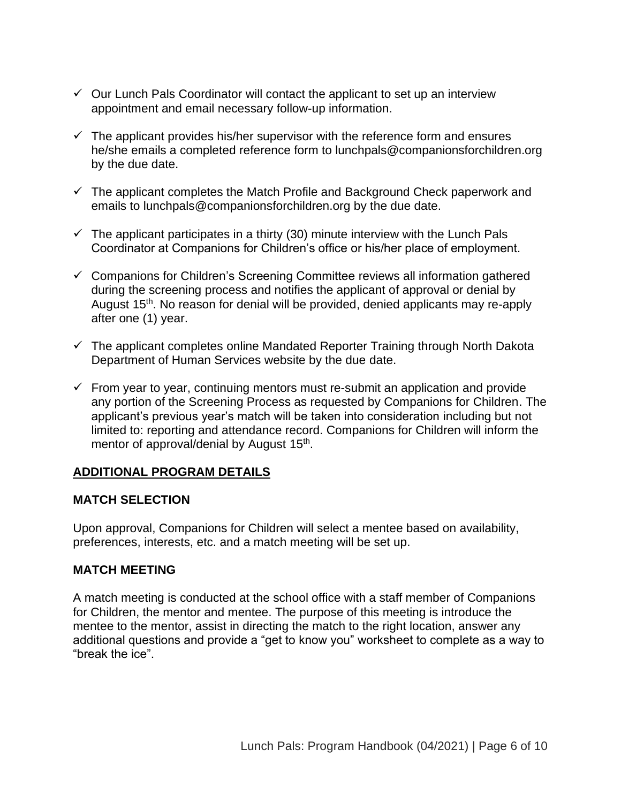- $\checkmark$  Our Lunch Pals Coordinator will contact the applicant to set up an interview appointment and email necessary follow-up information.
- $\checkmark$  The applicant provides his/her supervisor with the reference form and ensures he/she emails a completed reference form to lunchpals@companionsforchildren.org by the due date.
- $\checkmark$  The applicant completes the Match Profile and Background Check paperwork and emails to lunchpals@companionsforchildren.org by the due date.
- $\checkmark$  The applicant participates in a thirty (30) minute interview with the Lunch Pals Coordinator at Companions for Children's office or his/her place of employment.
- ✓ Companions for Children's Screening Committee reviews all information gathered during the screening process and notifies the applicant of approval or denial by August 15<sup>th</sup>. No reason for denial will be provided, denied applicants may re-apply after one (1) year.
- $\checkmark$  The applicant completes online Mandated Reporter Training through North Dakota Department of Human Services website by the due date.
- $\checkmark$  From year to year, continuing mentors must re-submit an application and provide any portion of the Screening Process as requested by Companions for Children. The applicant's previous year's match will be taken into consideration including but not limited to: reporting and attendance record. Companions for Children will inform the mentor of approval/denial by August 15<sup>th</sup>.

## **ADDITIONAL PROGRAM DETAILS**

#### **MATCH SELECTION**

Upon approval, Companions for Children will select a mentee based on availability, preferences, interests, etc. and a match meeting will be set up.

#### **MATCH MEETING**

A match meeting is conducted at the school office with a staff member of Companions for Children, the mentor and mentee. The purpose of this meeting is introduce the mentee to the mentor, assist in directing the match to the right location, answer any additional questions and provide a "get to know you" worksheet to complete as a way to "break the ice".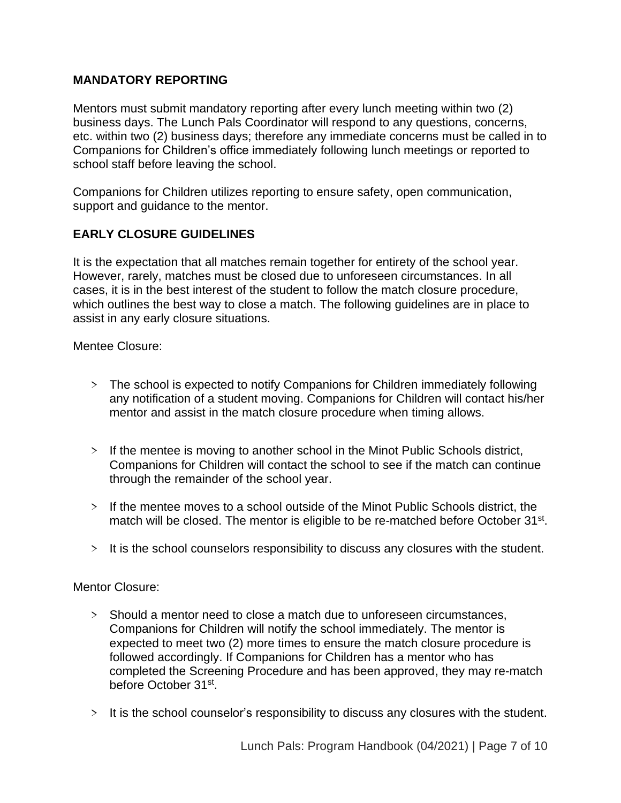## **MANDATORY REPORTING**

Mentors must submit mandatory reporting after every lunch meeting within two (2) business days. The Lunch Pals Coordinator will respond to any questions, concerns, etc. within two (2) business days; therefore any immediate concerns must be called in to Companions for Children's office immediately following lunch meetings or reported to school staff before leaving the school.

Companions for Children utilizes reporting to ensure safety, open communication, support and guidance to the mentor.

## **EARLY CLOSURE GUIDELINES**

It is the expectation that all matches remain together for entirety of the school year. However, rarely, matches must be closed due to unforeseen circumstances. In all cases, it is in the best interest of the student to follow the match closure procedure, which outlines the best way to close a match. The following guidelines are in place to assist in any early closure situations.

Mentee Closure:

- *>* The school is expected to notify Companions for Children immediately following any notification of a student moving. Companions for Children will contact his/her mentor and assist in the match closure procedure when timing allows.
- *>* If the mentee is moving to another school in the Minot Public Schools district, Companions for Children will contact the school to see if the match can continue through the remainder of the school year.
- *>* If the mentee moves to a school outside of the Minot Public Schools district, the match will be closed. The mentor is eligible to be re-matched before October 31<sup>st</sup>.
- *>* It is the school counselors responsibility to discuss any closures with the student.

Mentor Closure:

- *>* Should a mentor need to close a match due to unforeseen circumstances, Companions for Children will notify the school immediately. The mentor is expected to meet two (2) more times to ensure the match closure procedure is followed accordingly. If Companions for Children has a mentor who has completed the Screening Procedure and has been approved, they may re-match before October 31st.
- *>* It is the school counselor's responsibility to discuss any closures with the student.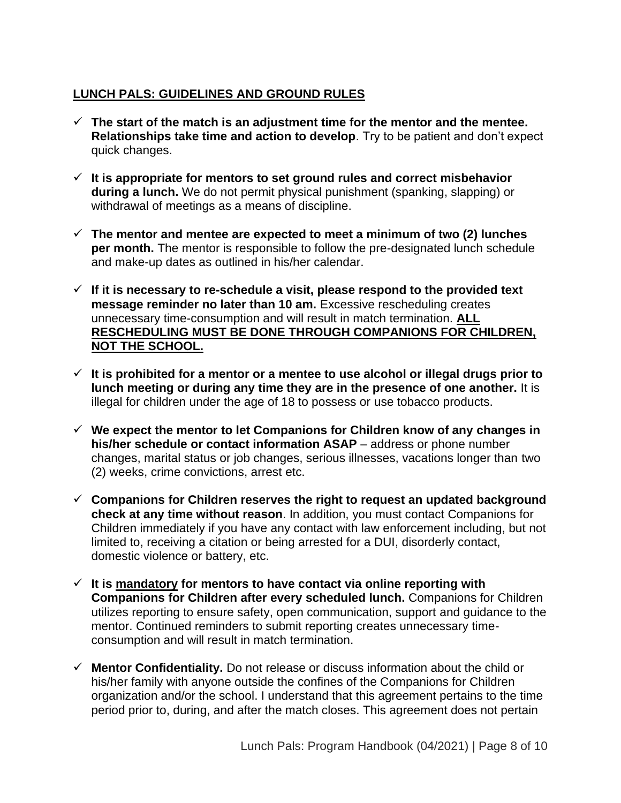# **LUNCH PALS: GUIDELINES AND GROUND RULES**

- $\checkmark$  The start of the match is an adjustment time for the mentor and the mentee. **Relationships take time and action to develop**. Try to be patient and don't expect quick changes.
- ✓ **It is appropriate for mentors to set ground rules and correct misbehavior during a lunch.** We do not permit physical punishment (spanking, slapping) or withdrawal of meetings as a means of discipline.
- ✓ **The mentor and mentee are expected to meet a minimum of two (2) lunches per month.** The mentor is responsible to follow the pre-designated lunch schedule and make-up dates as outlined in his/her calendar.
- $\checkmark$  If it is necessary to re-schedule a visit, please respond to the provided text **message reminder no later than 10 am.** Excessive rescheduling creates unnecessary time-consumption and will result in match termination. **ALL RESCHEDULING MUST BE DONE THROUGH COMPANIONS FOR CHILDREN, NOT THE SCHOOL.**
- ✓ **It is prohibited for a mentor or a mentee to use alcohol or illegal drugs prior to lunch meeting or during any time they are in the presence of one another.** It is illegal for children under the age of 18 to possess or use tobacco products.
- ✓ **We expect the mentor to let Companions for Children know of any changes in his/her schedule or contact information ASAP** – address or phone number changes, marital status or job changes, serious illnesses, vacations longer than two (2) weeks, crime convictions, arrest etc.
- ✓ **Companions for Children reserves the right to request an updated background check at any time without reason**. In addition, you must contact Companions for Children immediately if you have any contact with law enforcement including, but not limited to, receiving a citation or being arrested for a DUI, disorderly contact, domestic violence or battery, etc.
- ✓ **It is mandatory for mentors to have contact via online reporting with Companions for Children after every scheduled lunch.** Companions for Children utilizes reporting to ensure safety, open communication, support and guidance to the mentor. Continued reminders to submit reporting creates unnecessary timeconsumption and will result in match termination.
- ✓ **Mentor Confidentiality.** Do not release or discuss information about the child or his/her family with anyone outside the confines of the Companions for Children organization and/or the school. I understand that this agreement pertains to the time period prior to, during, and after the match closes. This agreement does not pertain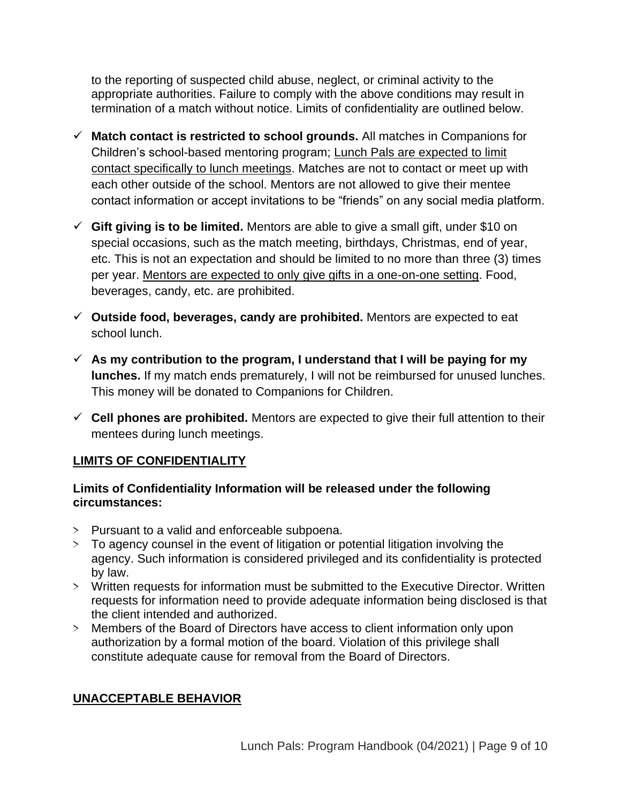to the reporting of suspected child abuse, neglect, or criminal activity to the appropriate authorities. Failure to comply with the above conditions may result in termination of a match without notice. Limits of confidentiality are outlined below.

- ✓ **Match contact is restricted to school grounds.** All matches in Companions for Children's school-based mentoring program; Lunch Pals are expected to limit contact specifically to lunch meetings. Matches are not to contact or meet up with each other outside of the school. Mentors are not allowed to give their mentee contact information or accept invitations to be "friends" on any social media platform.
- ✓ **Gift giving is to be limited.** Mentors are able to give a small gift, under \$10 on special occasions, such as the match meeting, birthdays, Christmas, end of year, etc. This is not an expectation and should be limited to no more than three (3) times per year. Mentors are expected to only give gifts in a one-on-one setting. Food, beverages, candy, etc. are prohibited.
- ✓ **Outside food, beverages, candy are prohibited.** Mentors are expected to eat school lunch.
- ✓ **As my contribution to the program, I understand that I will be paying for my lunches.** If my match ends prematurely, I will not be reimbursed for unused lunches. This money will be donated to Companions for Children.
- ✓ **Cell phones are prohibited.** Mentors are expected to give their full attention to their mentees during lunch meetings.

## **LIMITS OF CONFIDENTIALITY**

## **Limits of Confidentiality Information will be released under the following circumstances:**

- *>* Pursuant to a valid and enforceable subpoena.
- *>* To agency counsel in the event of litigation or potential litigation involving the agency. Such information is considered privileged and its confidentiality is protected by law.
- *>* Written requests for information must be submitted to the Executive Director. Written requests for information need to provide adequate information being disclosed is that the client intended and authorized.
- *>* Members of the Board of Directors have access to client information only upon authorization by a formal motion of the board. Violation of this privilege shall constitute adequate cause for removal from the Board of Directors.

# **UNACCEPTABLE BEHAVIOR**